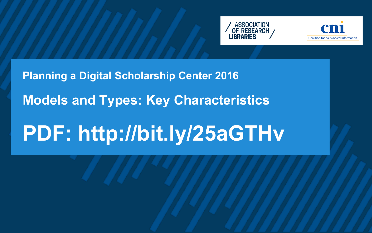# **Planning a Digital Scholarship Center 2016 Models and Types: Key Characteristics PDF: http://bit.ly/25aGTHv**



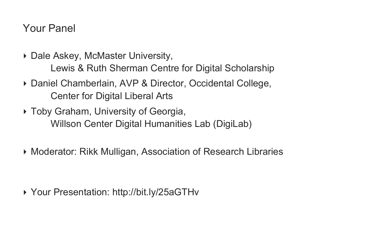#### Your Panel

- ‣ Dale Askey, McMaster University, Lewis & Ruth Sherman Centre for Digital Scholarship
- ‣ Daniel Chamberlain, AVP & Director, Occidental College, Center for Digital Liberal Arts
- ‣ Toby Graham, University of Georgia, Willson Center Digital Humanities Lab (DigiLab)
- ‣ Moderator: Rikk Mulligan, Association of Research Libraries

‣ Your Presentation: http://bit.ly/25aGTHv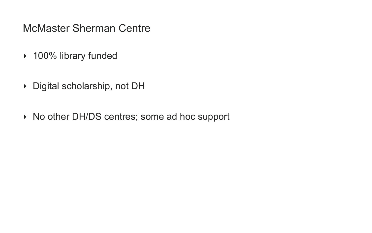### McMaster Sherman Centre

- ‣ 100% library funded
- ‣ Digital scholarship, not DH
- ‣ No other DH/DS centres; some ad hoc support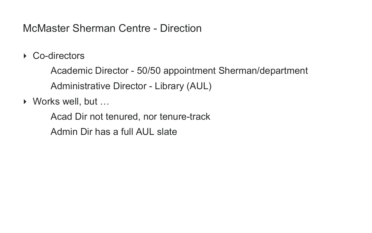#### McMaster Sherman Centre - Direction

‣ Co-directors

 Academic Director - 50/50 appointment Sherman/department Administrative Director - Library (AUL)

‣ Works well, but …

 Acad Dir not tenured, nor tenure-track Admin Dir has a full AUL slate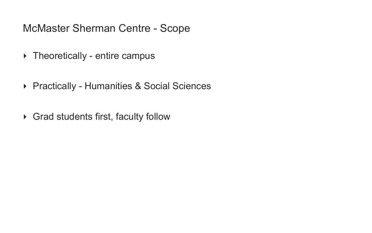#### McMaster Sherman Centre - Scope

- ‣ Theoretically entire campus
- ‣ Practically Humanities & Social Sciences
- ‣ Grad students first, faculty follow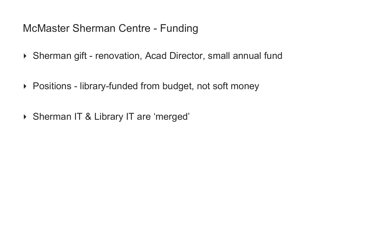#### McMaster Sherman Centre - Funding

- ▶ Sherman gift renovation, Acad Director, small annual fund
- ‣ Positions library-funded from budget, not soft money
- ‣ Sherman IT & Library IT are 'merged'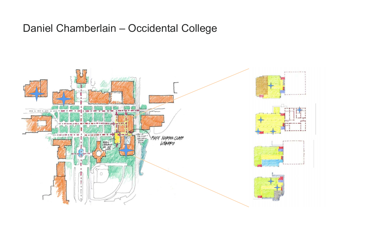### Daniel Chamberlain – Occidental College



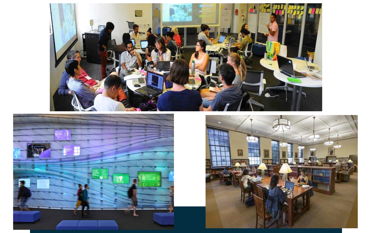



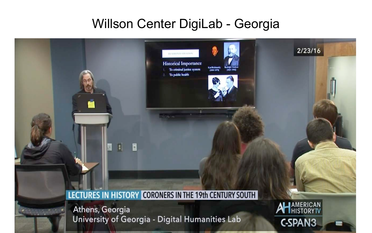## Willson Center DigiLab - Georgia



University of Georgia - Digital Humanities Lab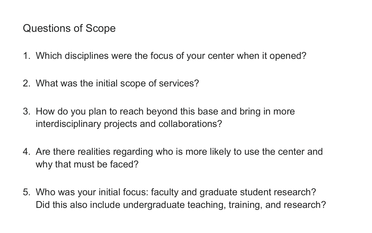### Questions of Scope

- 1. Which disciplines were the focus of your center when it opened?
- 2. What was the initial scope of services?
- 3. How do you plan to reach beyond this base and bring in more interdisciplinary projects and collaborations?
- 4. Are there realities regarding who is more likely to use the center and why that must be faced?
- 5. Who was your initial focus: faculty and graduate student research? Did this also include undergraduate teaching, training, and research?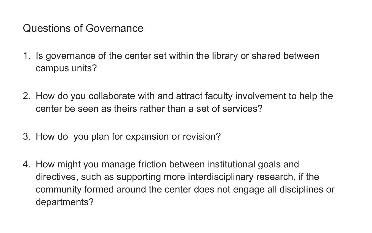#### Questions of Governance

- 1. Is governance of the center set within the library or shared between campus units?
- 2. How do you collaborate with and attract faculty involvement to help the center be seen as theirs rather than a set of services?
- 3. How do you plan for expansion or revision?
- 4. How might you manage friction between institutional goals and directives, such as supporting more interdisciplinary research, if the community formed around the center does not engage all disciplines or departments?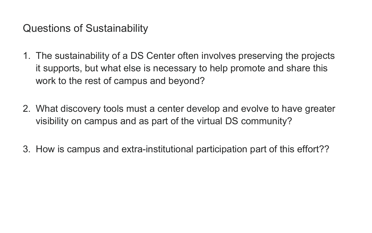### Questions of Sustainability

- 1. The sustainability of a DS Center often involves preserving the projects it supports, but what else is necessary to help promote and share this work to the rest of campus and beyond?
- 2. What discovery tools must a center develop and evolve to have greater visibility on campus and as part of the virtual DS community?
- 3. How is campus and extra-institutional participation part of this effort??